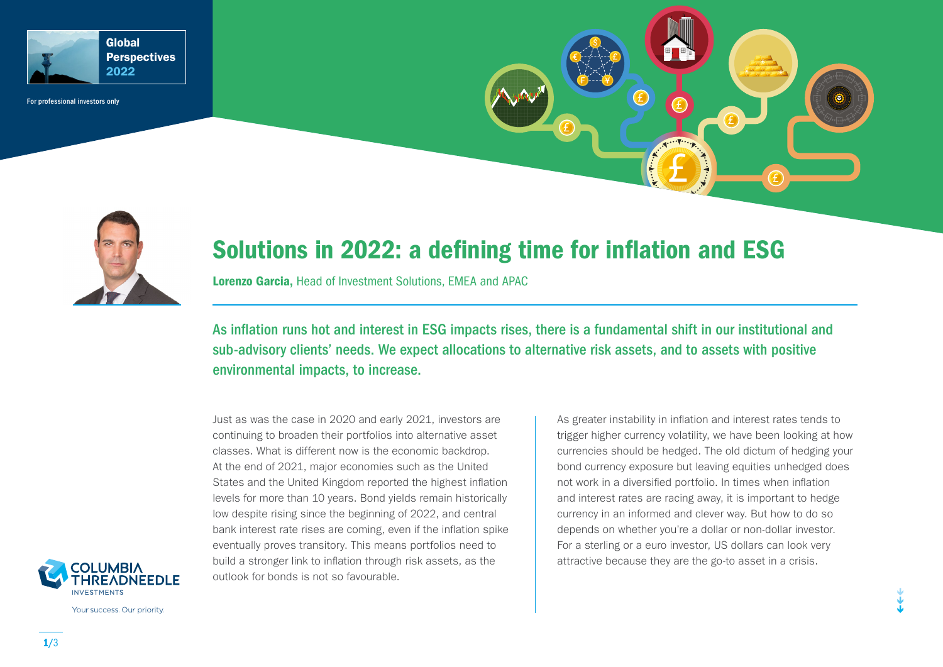

For professional investors only



# Solutions in 2022: a defining time for inflation and ESG

Lorenzo Garcia, Head of Investment Solutions, EMEA and APAC

As inflation runs hot and interest in ESG impacts rises, there is a fundamental shift in our institutional and sub-advisory clients' needs. We expect allocations to alternative risk assets, and to assets with positive environmental impacts, to increase.

Just as was the case in 2020 and early 2021, investors are continuing to broaden their portfolios into alternative asset classes. What is different now is the economic backdrop. At the end of 2021, major economies such as the United States and the United Kingdom reported the highest inflation levels for more than 10 years. Bond yields remain historically low despite rising since the beginning of 2022, and central bank interest rate rises are coming, even if the inflation spike eventually proves transitory. This means portfolios need to build a stronger link to inflation through risk assets, as the outlook for bonds is not so favourable.

As greater instability in inflation and interest rates tends to trigger higher currency volatility, we have been looking at how currencies should be hedged. The old dictum of hedging your bond currency exposure but leaving equities unhedged does not work in a diversified portfolio. In times when inflation and interest rates are racing away, it is important to hedge currency in an informed and clever way. But how to do so depends on whether you're a dollar or non-dollar investor. For a sterling or a euro investor, US dollars can look very attractive because they are the go-to asset in a crisis.



Your success. Our priority.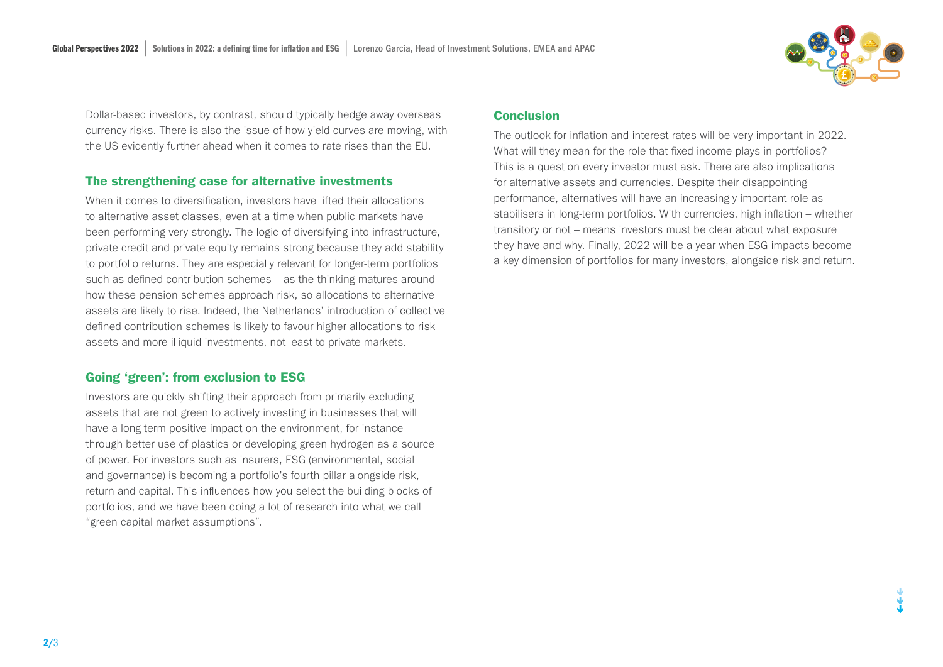

Dollar-based investors, by contrast, should typically hedge away overseas currency risks. There is also the issue of how yield curves are moving, with the US evidently further ahead when it comes to rate rises than the EU.

## The strengthening case for alternative investments

When it comes to diversification, investors have lifted their allocations to alternative asset classes, even at a time when public markets have been performing very strongly. The logic of diversifying into infrastructure, private credit and private equity remains strong because they add stability to portfolio returns. They are especially relevant for longer-term portfolios such as defined contribution schemes – as the thinking matures around how these pension schemes approach risk, so allocations to alternative assets are likely to rise. Indeed, the Netherlands' introduction of collective defined contribution schemes is likely to favour higher allocations to risk assets and more illiquid investments, not least to private markets.

## Going 'green': from exclusion to ESG

Investors are quickly shifting their approach from primarily excluding assets that are not green to actively investing in businesses that will have a long-term positive impact on the environment, for instance through better use of plastics or developing green hydrogen as a source of power. For investors such as insurers, ESG (environmental, social and governance) is becoming a portfolio's fourth pillar alongside risk, return and capital. This influences how you select the building blocks of portfolios, and we have been doing a lot of research into what we call "green capital market assumptions".

## Conclusion

The outlook for inflation and interest rates will be very important in 2022. What will they mean for the role that fixed income plays in portfolios? This is a question every investor must ask. There are also implications for alternative assets and currencies. Despite their disappointing performance, alternatives will have an increasingly important role as stabilisers in long-term portfolios. With currencies, high inflation – whether transitory or not – means investors must be clear about what exposure they have and why. Finally, 2022 will be a year when ESG impacts become a key dimension of portfolios for many investors, alongside risk and return.